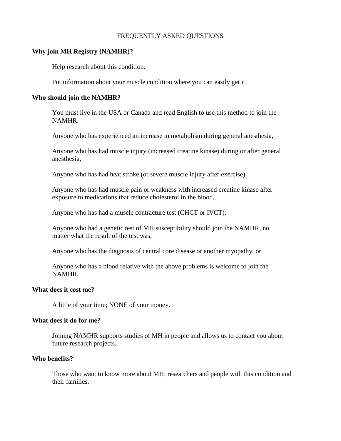### FREQUENTLY ASKED QUESTIONS

### **Why join MH Registry (NAMHR)?**

Help research about this condition.

Put information about your muscle condition where you can easily get it.

### **Who should join the NAMHR?**

You must live in the USA or Canada and read English to use this method to join the NAMHR.

Anyone who has experienced an increase in metabolism during general anesthesia,

Anyone who has had muscle injury (increased creatine kinase) during or after general anesthesia,

Anyone who has had heat stroke (or severe muscle injury after exercise),

Anyone who has had muscle pain or weakness with increased creatine kinase after exposure to medications that reduce cholesterol in the blood,

Anyone who has had a muscle contracture test (CHCT or IVCT),

Anyone who had a genetic test of MH susceptibility should join the NAMHR, no matter what the result of the test was,

Anyone who has the diagnosis of central core disease or another myopathy, or

Anyone who has a blood relative with the above problems is welcome to join the NAMHR.

#### **What does it cost me?**

A little of your time; NONE of your money.

### **What does it do for me?**

Joining NAMHR supports studies of MH in people and allows us to contact you about future research projects.

### **Who benefits?**

Those who want to know more about MH; researchers and people with this condition and their families.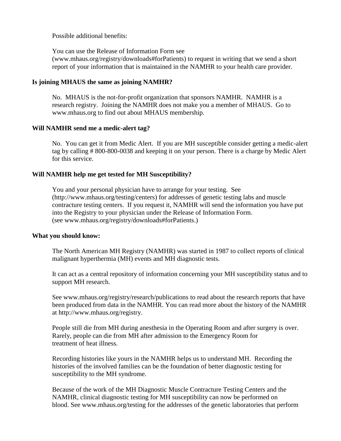Possible additional benefits:

You can use the Release of Information Form see (www.mhaus.org/registry/downloads#forPatients) to request in writing that we send a short report of your information that is maintained in the NAMHR to your health care provider.

## **Is joining MHAUS the same as joining NAMHR?**

No. MHAUS is the not-for-profit organization that sponsors NAMHR. NAMHR is a research registry. Joining the NAMHR does not make you a member of MHAUS. Go to www.mhaus.org to find out about MHAUS membership.

## **Will NAMHR send me a medic-alert tag?**

No. You can get it from Medic Alert. If you are MH susceptible consider getting a medic-alert tag by calling # 800-800-0038 and keeping it on your person. There is a charge by Medic Alert for this service.

# **Will NAMHR help me get tested for MH Susceptibility?**

You and your personal physician have to arrange for your testing. See [\(http://www.mhaus.org/testing/centers\)](http://www.mhaus.org/testing/centers) for addresses of genetic testing labs and muscle contracture testing centers. If you request it, NAMHR will send the information you have put into the Registry to your physician under the Release of Information Form. (see www.mhaus.org/registry/downloads#forPatients.)

## **What you should know:**

The North American MH Registry (NAMHR) was started in 1987 to collect reports of clinical malignant hyperthermia (MH) events and MH diagnostic tests.

It can act as a central repository of information concerning your MH susceptibility status and to support MH research.

See www.mhaus.org/registry/research/publications to read about the research reports that have been produced from data in the NAMHR. You can read more about the history of the NAMHR at http://www.mhaus.org/registry.

People still die from MH during anesthesia in the Operating Room and after surgery is over. Rarely, people can die from MH after admission to the Emergency Room for treatment of heat illness.

Recording histories like yours in the NAMHR helps us to understand MH. Recording the histories of the involved families can be the foundation of better diagnostic testing for susceptibility to the MH syndrome.

Because of the work of the MH Diagnostic Muscle Contracture Testing Centers and the NAMHR, clinical diagnostic testing for MH susceptibility can now be performed on blood. See www.mhaus.org/testing for the addresses of the genetic laboratories that perform